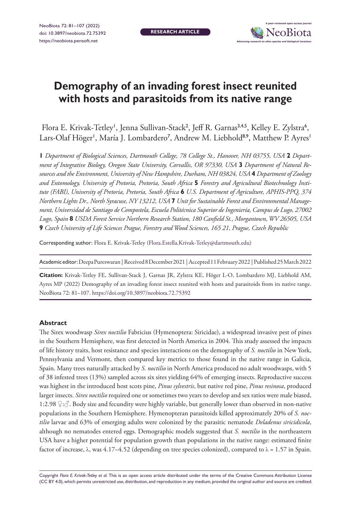

# **Demography of an invading forest insect reunited with hosts and parasitoids from its native range**

Flora E. Krivak-Tetley', Jenna Sullivan-Stack<sup>2</sup>, Jeff R. Garnas<sup>3,4,5</sup>, Kelley E. Zylstra<sup>6</sup>, Lars-Olaf Höger', María J. Lombardero<sup>7</sup>, Andrew M. Liebhold<sup>8,9</sup>, Matthew P. Ayres'

**1** *Department of Biological Sciences, Dartmouth College, 78 College St., Hanover, NH 03755, USA* **2** *Department of Integrative Biology, Oregon State University, Corvallis, OR 97330, USA* **3** *Department of Natural Resources and the Environment, University of New Hampshire, Durham, NH 03824, USA* **4** *Department of Zoology and Entomology, University of Pretoria, Pretoria, South Africa* **5** *Forestry and Agricultural Biotechnology Institute (FABI), University of Pretoria, Pretoria, South Africa* **6** *U.S. Department of Agriculture, APHIS-PPQ, 374 Northern Lights Dr., North Syracuse, NY 13212, USA* **7** *Unit for Sustainable Forest and Environmental Management, Universidad de Santiago de Compostela, Escuela Politécnica Superior de Ingeniería, Campus de Lugo, 27002 Lugo, Spain* **8** *USDA Forest Service Northern Research Station, 180 Canfield St., Morgantown, WV 26505, USA*  **9** *Czech University of Life Sciences Prague, Forestry and Wood Sciences, 165 21, Prague, Czech Republic*

Corresponding author: Flora E. Krivak-Tetley [\(Flora.Estella.Krivak-Tetley@dartmouth.edu\)](mailto:Flora.Estella.Krivak-Tetley@dartmouth.edu)

Academic editor: Deepa Pureswaran | Received 8 December 2021 | Accepted 11 February 2022 | Published 25 March 2022

**Citation:** Krivak-Tetley FE, Sullivan-Stack J, Garnas JR, Zylstra KE, Höger L-O, Lombardero MJ, Liebhold AM, Ayres MP (2022) Demography of an invading forest insect reunited with hosts and parasitoids from its native range. NeoBiota 72: 81–107. <https://doi.org/10.3897/neobiota.72.75392>

## **Abstract**

The Sirex woodwasp *Sirex noctilio* Fabricius (Hymenoptera: Siricidae), a widespread invasive pest of pines in the Southern Hemisphere, was first detected in North America in 2004. This study assessed the impacts of life history traits, host resistance and species interactions on the demography of *S. noctilio* in New York, Pennsylvania and Vermont, then compared key metrics to those found in the native range in Galicia, Spain. Many trees naturally attacked by *S. noctilio* in North America produced no adult woodwasps, with 5 of 38 infested trees (13%) sampled across six sites yielding 64% of emerging insects. Reproductive success was highest in the introduced host scots pine, *Pinus sylvestris*, but native red pine, *Pinus resinosa*, produced larger insects. *Sirex noctilio* required one or sometimes two years to develop and sex ratios were male biased, 1:2.98 ♀:♂. Body size and fecundity were highly variable, but generally lower than observed in non-native populations in the Southern Hemisphere. Hymenopteran parasitoids killed approximately 20% of *S. noctilio* larvae and 63% of emerging adults were colonized by the parasitic nematode *Deladenus siricidicola*, although no nematodes entered eggs. Demographic models suggested that *S. noctilio* in the northeastern USA have a higher potential for population growth than populations in the native range: estimated finite factor of increase,  $\lambda$ , was 4.17–4.52 (depending on tree species colonized), compared to  $\lambda$  = 1.57 in Spain.

Copyright *Flora E. Krivak-Tetley et al.* This is an open access article distributed under the terms of the [Creative Commons Attribution License](http://creativecommons.org/licenses/by/4.0/)  [\(CC BY 4.0\)](http://creativecommons.org/licenses/by/4.0/), which permits unrestricted use, distribution, and reproduction in any medium, provided the original author and source are credited.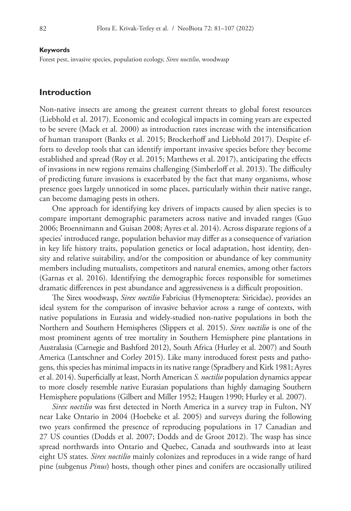#### **Keywords**

Forest pest, invasive species, population ecology, *Sirex noctilio*, woodwasp

# **Introduction**

Non-native insects are among the greatest current threats to global forest resources (Liebhold et al. 2017). Economic and ecological impacts in coming years are expected to be severe (Mack et al. 2000) as introduction rates increase with the intensification of human transport (Banks et al. 2015; Brockerhoff and Liebhold 2017). Despite efforts to develop tools that can identify important invasive species before they become established and spread (Roy et al. 2015; Matthews et al. 2017), anticipating the effects of invasions in new regions remains challenging (Simberloff et al. 2013). The difficulty of predicting future invasions is exacerbated by the fact that many organisms, whose presence goes largely unnoticed in some places, particularly within their native range, can become damaging pests in others.

One approach for identifying key drivers of impacts caused by alien species is to compare important demographic parameters across native and invaded ranges (Guo 2006; Broennimann and Guisan 2008; Ayres et al. 2014). Across disparate regions of a species' introduced range, population behavior may differ as a consequence of variation in key life history traits, population genetics or local adaptation, host identity, density and relative suitability, and/or the composition or abundance of key community members including mutualists, competitors and natural enemies, among other factors (Garnas et al. 2016). Identifying the demographic forces responsible for sometimes dramatic differences in pest abundance and aggressiveness is a difficult proposition.

The Sirex woodwasp, *Sirex noctilio* Fabricius (Hymenoptera: Siricidae), provides an ideal system for the comparison of invasive behavior across a range of contexts, with native populations in Eurasia and widely-studied non-native populations in both the Northern and Southern Hemispheres (Slippers et al. 2015). *Sirex noctilio* is one of the most prominent agents of tree mortality in Southern Hemisphere pine plantations in Australasia (Carnegie and Bashford 2012), South Africa (Hurley et al. 2007) and South America (Lantschner and Corley 2015). Like many introduced forest pests and pathogens, this species has minimal impacts in its native range (Spradbery and Kirk 1981; Ayres et al. 2014). Superficially at least, North American *S. noctilio* population dynamics appear to more closely resemble native Eurasian populations than highly damaging Southern Hemisphere populations (Gilbert and Miller 1952; Haugen 1990; Hurley et al. 2007).

*Sirex noctilio* was first detected in North America in a survey trap in Fulton, NY near Lake Ontario in 2004 (Hoebeke et al. 2005) and surveys during the following two years confirmed the presence of reproducing populations in 17 Canadian and 27 US counties (Dodds et al. 2007; Dodds and de Groot 2012). The wasp has since spread northwards into Ontario and Quebec, Canada and southwards into at least eight US states. *Sirex noctilio* mainly colonizes and reproduces in a wide range of hard pine (subgenus *Pinus*) hosts, though other pines and conifers are occasionally utilized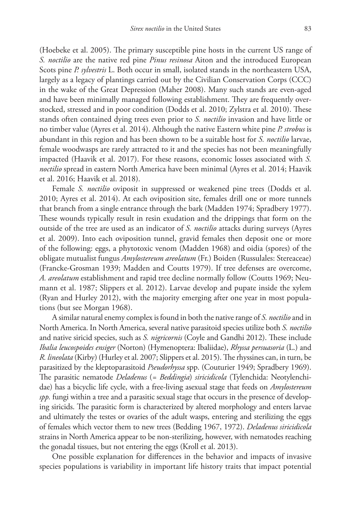(Hoebeke et al. 2005). The primary susceptible pine hosts in the current US range of *S. noctilio* are the native red pine *Pinus resinosa* Aiton and the introduced European Scots pine *P. sylvestris* L. Both occur in small, isolated stands in the northeastern USA, largely as a legacy of plantings carried out by the Civilian Conservation Corps (CCC) in the wake of the Great Depression (Maher 2008). Many such stands are even-aged and have been minimally managed following establishment. They are frequently overstocked, stressed and in poor condition (Dodds et al. 2010; Zylstra et al. 2010). These stands often contained dying trees even prior to *S. noctilio* invasion and have little or no timber value (Ayres et al. 2014). Although the native Eastern white pine *P. strobus* is abundant in this region and has been shown to be a suitable host for *S. noctilio* larvae, female woodwasps are rarely attracted to it and the species has not been meaningfully impacted (Haavik et al. 2017). For these reasons, economic losses associated with *S. noctilio* spread in eastern North America have been minimal (Ayres et al. 2014; Haavik et al. 2016; Haavik et al. 2018).

Female *S. noctilio* oviposit in suppressed or weakened pine trees (Dodds et al. 2010; Ayres et al. 2014). At each oviposition site, females drill one or more tunnels that branch from a single entrance through the bark (Madden 1974; Spradbery 1977). These wounds typically result in resin exudation and the drippings that form on the outside of the tree are used as an indicator of *S. noctilio* attacks during surveys (Ayres et al. 2009). Into each oviposition tunnel, gravid females then deposit one or more of the following: eggs, a phytotoxic venom (Madden 1968) and oidia (spores) of the obligate mutualist fungus *Amylostereum areolatum* (Fr.) Boiden (Russulales: Stereaceae) (Francke-Grosman 1939; Madden and Coutts 1979). If tree defenses are overcome, *A. areolatum* establishment and rapid tree decline normally follow (Coutts 1969; Neumann et al. 1987; Slippers et al. 2012). Larvae develop and pupate inside the xylem (Ryan and Hurley 2012), with the majority emerging after one year in most populations (but see Morgan 1968).

A similar natural enemy complex is found in both the native range of *S. noctilio* and in North America. In North America, several native parasitoid species utilize both *S. noctilio*  and native siricid species, such as *S. nigricornis* (Coyle and Gandhi 2012). These include *Ibalia leucospoides ensiger* (Norton) (Hymenoptera: Ibaliidae), *Rhyssa persuasoria* (L.) and *R. lineolata* (Kirby) (Hurley et al. 2007; Slippers et al. 2015). The rhyssines can, in turn, be parasitized by the kleptoparasitoid *Pseudorhyssa* spp. (Couturier 1949; Spradbery 1969). The parasitic nematode *Deladenus* (*= Beddingia*) *siricidicola* (Tylenchida: Neotylenchidae) has a bicyclic life cycle, with a free-living asexual stage that feeds on *Amylostereum spp.* fungi within a tree and a parasitic sexual stage that occurs in the presence of developing siricids. The parasitic form is characterized by altered morphology and enters larvae and ultimately the testes or ovaries of the adult wasps, entering and sterilizing the eggs of females which vector them to new trees (Bedding 1967, 1972). *Deladenus siricidicola* strains in North America appear to be non-sterilizing, however, with nematodes reaching the gonadal tissues, but not entering the eggs (Kroll et al. 2013).

One possible explanation for differences in the behavior and impacts of invasive species populations is variability in important life history traits that impact potential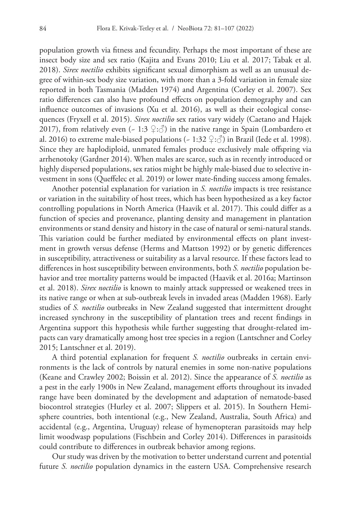population growth via fitness and fecundity. Perhaps the most important of these are insect body size and sex ratio (Kajita and Evans 2010; Liu et al. 2017; Tabak et al. 2018). *Sirex noctilio* exhibits significant sexual dimorphism as well as an unusual degree of within-sex body size variation, with more than a 3-fold variation in female size reported in both Tasmania (Madden 1974) and Argentina (Corley et al. 2007). Sex ratio differences can also have profound effects on population demography and can influence outcomes of invasions (Xu et al. 2016), as well as their ecological consequences (Fryxell et al. 2015). *Sirex noctilio* sex ratios vary widely (Caetano and Hajek 2017), from relatively even (~ 1:3  $\mathcal{L}:\mathcal{S}$ ) in the native range in Spain (Lombardero et al. 2016) to extreme male-biased populations (~ 1:32  $\mathcal{L}:\hat{\circ}$ ) in Brazil (Iede et al. 1998). Since they are haplodiploid, unmated females produce exclusively male offspring via arrhenotoky (Gardner 2014). When males are scarce, such as in recently introduced or highly dispersed populations, sex ratios might be highly male-biased due to selective investment in sons (Queffelec et al. 2019) or lower mate-finding success among females.

Another potential explanation for variation in *S. noctilio* impacts is tree resistance or variation in the suitability of host trees, which has been hypothesized as a key factor controlling populations in North America (Haavik et al. 2017). This could differ as a function of species and provenance, planting density and management in plantation environments or stand density and history in the case of natural or semi-natural stands. This variation could be further mediated by environmental effects on plant investment in growth versus defense (Herms and Mattson 1992) or by genetic differences in susceptibility, attractiveness or suitability as a larval resource. If these factors lead to differences in host susceptibility between environments, both *S. noctilio* population behavior and tree mortality patterns would be impacted (Haavik et al. 2016a; Martinson et al. 2018). *Sirex noctilio* is known to mainly attack suppressed or weakened trees in its native range or when at sub-outbreak levels in invaded areas (Madden 1968). Early studies of *S. noctilio* outbreaks in New Zealand suggested that intermittent drought increased synchrony in the susceptibility of plantation trees and recent findings in Argentina support this hypothesis while further suggesting that drought-related impacts can vary dramatically among host tree species in a region (Lantschner and Corley 2015; Lantschner et al. 2019).

A third potential explanation for frequent *S. noctilio* outbreaks in certain environments is the lack of controls by natural enemies in some non-native populations (Keane and Crawley 2002; Boissin et al. 2012). Since the appearance of *S. noctilio* as a pest in the early 1900s in New Zealand, management efforts throughout its invaded range have been dominated by the development and adaptation of nematode-based biocontrol strategies (Hurley et al. 2007; Slippers et al. 2015). In Southern Hemisphere countries, both intentional (e.g., New Zealand, Australia, South Africa) and accidental (e.g., Argentina, Uruguay) release of hymenopteran parasitoids may help limit woodwasp populations (Fischbein and Corley 2014). Differences in parasitoids could contribute to differences in outbreak behavior among regions.

Our study was driven by the motivation to better understand current and potential future *S. noctilio* population dynamics in the eastern USA. Comprehensive research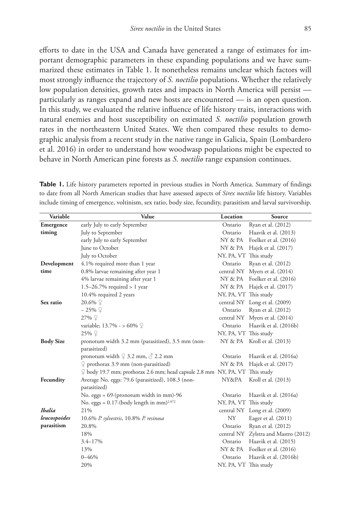efforts to date in the USA and Canada have generated a range of estimates for important demographic parameters in these expanding populations and we have summarized these estimates in Table 1. It nonetheless remains unclear which factors will most strongly influence the trajectory of *S. noctilio* populations. Whether the relatively low population densities, growth rates and impacts in North America will persist particularly as ranges expand and new hosts are encountered — is an open question. In this study, we evaluated the relative influence of life history traits, interactions with natural enemies and host susceptibility on estimated *S. noctilio* population growth rates in the northeastern United States. We then compared these results to demographic analysis from a recent study in the native range in Galicia, Spain (Lombardero et al. 2016) in order to understand how woodwasp populations might be expected to behave in North American pine forests as *S. noctilio* range expansion continues.

| Variable         | Value                                                                                   | Location              | Source                               |
|------------------|-----------------------------------------------------------------------------------------|-----------------------|--------------------------------------|
| Emergence        | early July to early September                                                           | Ontario               | Ryan et al. (2012)                   |
| timing           | July to September                                                                       | Ontario               | Haavik et al. (2013)                 |
|                  | early July to early September                                                           |                       | NY & PA Foelker et al. (2016)        |
|                  | June to October                                                                         |                       | NY & PA Hajek et al. (2017)          |
|                  | July to October                                                                         | NY, PA, VT This study |                                      |
| Development      | 4.1% required more than 1 year                                                          | Ontario               | Ryan et al. (2012)                   |
| time             | 0.8% larvae remaining after year 1                                                      |                       | central NY Myers et al. (2014)       |
|                  | 4% larvae remaining after year 1                                                        |                       | NY & PA Foelker et al. (2016)        |
|                  | $1.5-26.7\%$ required > 1 year                                                          |                       | NY & PA Hajek et al. (2017)          |
|                  | 10.4% required 2 years                                                                  | NY, PA, VT This study |                                      |
| Sex ratio        | 20.6% ♀                                                                                 |                       | central NY Long et al. (2009)        |
|                  | $-25\% \n\Omega$                                                                        | Ontario               | Ryan et al. (2012)                   |
|                  | 27% ♀                                                                                   |                       | central NY Myers et al. (2014)       |
|                  | variable; 13.7% - > 60% $\varphi$                                                       | Ontario               | Haavik et al. (2016b)                |
|                  | 25% ♀                                                                                   | NY, PA, VT This study |                                      |
| <b>Body Size</b> | pronotum width 3.2 mm (parasitized), 3.5 mm (non-<br>parasitized)                       |                       | NY & PA Kroll et al. (2013)          |
|                  | pronotum width $\frac{1}{2}$ 3.2 mm, $\sigma$ 2.2 mm                                    | Ontario               | Haavik et al. (2016a)                |
|                  | $\circledcirc$ prothorax 3.9 mm (non-parasitized)                                       | NY & PA               | Hajek et al. (2017)                  |
|                  | $\frac{1}{2}$ body 19.7 mm; prothorax 2.6 mm; head capsule 2.8 mm NY, PA, VT This study |                       |                                      |
| Fecundity        | Average No. eggs: 79.6 (parasitized), 108.3 (non-<br>parasitized)                       | NY&PA                 | Kroll et al. (2013)                  |
|                  | No. eggs = $69$ ·(pronotum width in mm)-96                                              | Ontario               | Haavik et al. (2016a)                |
|                  | No. eggs = $0.17$ (body length in mm) <sup>2.072</sup>                                  | NY, PA, VT This study |                                      |
| <b>Ibalia</b>    | 21%                                                                                     |                       | central NY Long et al. (2009)        |
| leucospoides     | 10.6% P. sylvestris, 10.8% P. resinosa                                                  | <b>NY</b>             | Eager et al. (2011)                  |
| parasitism       | 20.8%                                                                                   | Ontario               | Ryan et al. (2012)                   |
|                  | 18%                                                                                     |                       | central NY Zylstra and Mastro (2012) |
|                  | $3.4 - 17%$                                                                             | Ontario               | Haavik et al. (2015)                 |
|                  | 13%                                                                                     | NY & PA               | Foelker et al. (2016)                |
|                  | $0 - 46%$                                                                               | Ontario               | Haavik et al. (2016b)                |
|                  | 20%                                                                                     | NY, PA, VT This study |                                      |

**Table 1.** Life history parameters reported in previous studies in North America. Summary of findings to date from all North American studies that have assessed aspects of *Sirex noctilio* life history. Variables include timing of emergence, voltinism, sex ratio, body size, fecundity, parasitism and larval survivorship.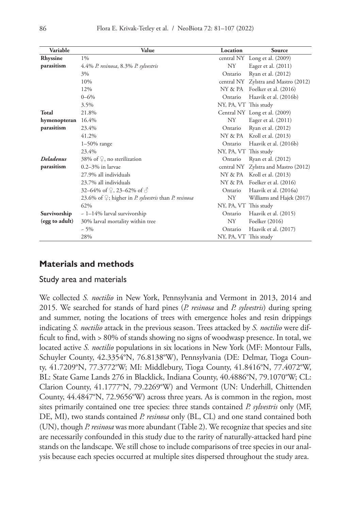| Variable         | Value                                                                           | Location              | Source                               |
|------------------|---------------------------------------------------------------------------------|-----------------------|--------------------------------------|
| Rhyssine         | $1\%$                                                                           | central NY            | Long et al. (2009)                   |
| parasitism       | 4.4% P. resinosa, 8.3% P. sylvestris                                            | NY                    | Eager et al. (2011)                  |
|                  | 3%                                                                              | Ontario               | Ryan et al. (2012)                   |
|                  | 10%                                                                             |                       | central NY Zylstra and Mastro (2012) |
|                  | 12%                                                                             | NY & PA               | Foelker et al. (2016)                |
|                  | $0 - 6\%$                                                                       | Ontario               | Haavik et al. (2016b)                |
|                  | 3.5%                                                                            | NY, PA, VT This study |                                      |
| Total            | 21.8%                                                                           |                       | Central NY Long et al. (2009)        |
| hymenopteran     | 16.4%                                                                           | NY                    | Eager et al. (2011)                  |
| parasitism       | 23.4%                                                                           | Ontario               | Ryan et al. (2012)                   |
|                  | 41.2%                                                                           |                       | NY & PA Kroll et al. (2013)          |
|                  | $1-50\%$ range                                                                  | Ontario               | Haavik et al. (2016b)                |
|                  | 23.4%                                                                           | NY, PA, VT This study |                                      |
| <b>Deladenus</b> | 38% of $\varphi$ , no sterilization                                             | Ontario               | Ryan et al. (2012)                   |
| parasitism       | $0.2 - 3\%$ in larvae                                                           |                       | central NY Zylstra and Mastro (2012) |
|                  | 27.9% all individuals                                                           |                       | NY & PA Kroll et al. (2013)          |
|                  | 23.7% all individuals                                                           | NY & PA               | Foelker et al. (2016)                |
|                  | 32–64% of $\varphi$ , 23–62% of $\varphi$                                       | Ontario               | Haavik et al. (2016a)                |
|                  | 23.6% of $\mathcal{Q}$ ; higher in <i>P. sylvestris</i> than <i>P. resinosa</i> | <b>NY</b>             | Williams and Hajek (2017)            |
|                  | 62%                                                                             | NY, PA, VT This study |                                      |
| Survivorship     | $\sim 1 - 14\%$ larval survivorship                                             | Ontario               | Haavik et al. (2015)                 |
| (egg to adult)   | 30% larval mortality within tree                                                | NY                    | Foelker (2016)                       |
|                  | $-5\%$                                                                          | Ontario               | Haavik et al. (2017)                 |
|                  | 28%                                                                             | NY, PA, VT This study |                                      |

# **Materials and methods**

## Study area and materials

We collected *S. noctilio* in New York, Pennsylvania and Vermont in 2013, 2014 and 2015. We searched for stands of hard pines (*P. resinosa* and *P. sylvestris*) during spring and summer, noting the locations of trees with emergence holes and resin drippings indicating *S. noctilio* attack in the previous season. Trees attacked by *S. noctilio* were difficult to find, with > 80% of stands showing no signs of woodwasp presence. In total, we located active *S. noctilio* populations in six locations in New York (MF: Montour Falls, Schuyler County, 42.3354°N, 76.8138°W), Pennsylvania (DE: Delmar, Tioga County, 41.7209°N, 77.3772°W; MI: Middlebury, Tioga County, 41.8416°N, 77.4072°W, BL: State Game Lands 276 in Blacklick, Indiana County, 40.4886°N, 79.1070°W; CL: Clarion County, 41.1777°N, 79.2269°W) and Vermont (UN: Underhill, Chittenden County, 44.4847°N, 72.9656°W) across three years. As is common in the region, most sites primarily contained one tree species: three stands contained *P. sylvestris* only (MF, DE, MI), two stands contained *P. resinosa* only (BL, CL) and one stand contained both (UN), though *P. resinosa* was more abundant (Table 2). We recognize that species and site are necessarily confounded in this study due to the rarity of naturally-attacked hard pine stands on the landscape. We still chose to include comparisons of tree species in our analysis because each species occurred at multiple sites dispersed throughout the study area.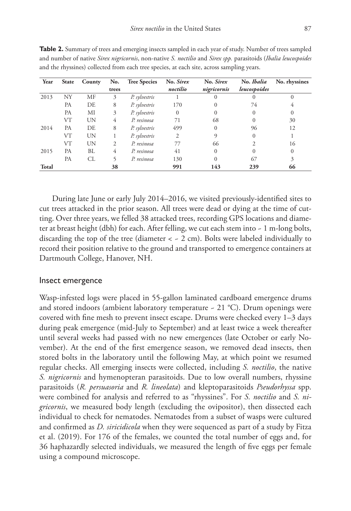| Year  | <b>State</b> | County | No.   | <b>Tree Species</b> | No. Sirex | No. Sirex   | No. Ibalia   | No. rhyssines |
|-------|--------------|--------|-------|---------------------|-----------|-------------|--------------|---------------|
|       |              |        | trees |                     | noctilio  | nigricornis | leucospoides |               |
| 2013  | ΝY           | МF     | 3     | P. sylvestris       |           |             |              |               |
|       | РA           | DE     | 8     | P. sylvestris       | 170       | $\Omega$    | 74           | 4             |
|       | <b>PA</b>    | МI     | 3     | P. sylvestris       | $\theta$  | $\Omega$    |              | 0             |
|       | VT           | UN     | 4     | P. resinosa         | 71        | 68          | $\Omega$     | 30            |
| 2014  | PA           | DE     | 8     | P. sylvestris       | 499       | $\Omega$    | 96           | 12            |
|       | VT           | UN     |       | P. sylvestris       | 2         | 9           |              |               |
|       | VТ           | UN     | 2     | P. resinosa         | 77        | 66          |              | 16            |
| 2015  | РA           | BL     | 4     | P. resinosa         | 41        | $\Omega$    |              | $\Omega$      |
|       | <b>PA</b>    | CL     | 5     | P. resinosa         | 130       | 0           | 67           | 3             |
| Total |              |        | 38    |                     | 991       | 143         | 239          | 66            |

**Table 2.** Summary of trees and emerging insects sampled in each year of study. Number of trees sampled and number of native *Sirex nigricornis*, non-native *S. noctilio* and *Sirex spp.* parasitoids (*Ibalia leucospoides*  and the rhyssines) collected from each tree species, at each site, across sampling years.

During late June or early July 2014–2016, we visited previously-identified sites to cut trees attacked in the prior season. All trees were dead or dying at the time of cutting. Over three years, we felled 38 attacked trees, recording GPS locations and diameter at breast height (dbh) for each. After felling, we cut each stem into  $\sim 1$  m-long bolts, discarding the top of the tree (diameter  $\langle$  - 2 cm). Bolts were labeled individually to record their position relative to the ground and transported to emergence containers at Dartmouth College, Hanover, NH.

## Insect emergence

Wasp-infested logs were placed in 55-gallon laminated cardboard emergence drums and stored indoors (ambient laboratory temperature  $\sim$  21 °C). Drum openings were covered with fine mesh to prevent insect escape. Drums were checked every 1–3 days during peak emergence (mid-July to September) and at least twice a week thereafter until several weeks had passed with no new emergences (late October or early November). At the end of the first emergence season, we removed dead insects, then stored bolts in the laboratory until the following May, at which point we resumed regular checks. All emerging insects were collected, including *S. noctilio*, the native *S. nigricornis* and hymenopteran parasitoids. Due to low overall numbers, rhyssine parasitoids (*R. persuasoria* and *R. lineolata*) and kleptoparasitoids *Pseudorhyssa* spp. were combined for analysis and referred to as "rhyssines". For *S. noctilio* and *S. nigricornis*, we measured body length (excluding the ovipositor), then dissected each individual to check for nematodes. Nematodes from a subset of wasps were cultured and confirmed as *D. siricidicola* when they were sequenced as part of a study by Fitza et al. (2019). For 176 of the females, we counted the total number of eggs and, for 36 haphazardly selected individuals, we measured the length of five eggs per female using a compound microscope.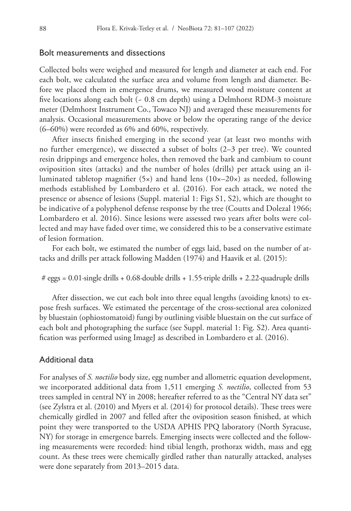# Bolt measurements and dissections

Collected bolts were weighed and measured for length and diameter at each end. For each bolt, we calculated the surface area and volume from length and diameter. Before we placed them in emergence drums, we measured wood moisture content at five locations along each bolt  $(-0.8 \text{ cm depth})$  using a Delmhorst RDM-3 moisture meter (Delmhorst Instrument Co., Towaco NJ) and averaged these measurements for analysis. Occasional measurements above or below the operating range of the device (6–60%) were recorded as 6% and 60%, respectively.

After insects finished emerging in the second year (at least two months with no further emergence), we dissected a subset of bolts (2–3 per tree). We counted resin drippings and emergence holes, then removed the bark and cambium to count oviposition sites (attacks) and the number of holes (drills) per attack using an illuminated tabletop magnifier  $(5x)$  and hand lens  $(10x-20x)$  as needed, following methods established by Lombardero et al. (2016). For each attack, we noted the presence or absence of lesions (Suppl. material 1: Figs S1, S2), which are thought to be indicative of a polyphenol defense response by the tree (Coutts and Dolezal 1966; Lombardero et al. 2016). Since lesions were assessed two years after bolts were collected and may have faded over time, we considered this to be a conservative estimate of lesion formation.

For each bolt, we estimated the number of eggs laid, based on the number of attacks and drills per attack following Madden (1974) and Haavik et al. (2015):

# eggs = 0.01∙single drills + 0.68∙double drills + 1.55∙triple drills + 2.22∙quadruple drills

After dissection, we cut each bolt into three equal lengths (avoiding knots) to expose fresh surfaces. We estimated the percentage of the cross-sectional area colonized by bluestain (ophiostomatoid) fungi by outlining visible bluestain on the cut surface of each bolt and photographing the surface (see Suppl. material 1: Fig. S2). Area quantification was performed using ImageJ as described in Lombardero et al. (2016).

# Additional data

For analyses of *S. noctilio* body size, egg number and allometric equation development, we incorporated additional data from 1,511 emerging *S. noctilio*, collected from 53 trees sampled in central NY in 2008; hereafter referred to as the "Central NY data set" (see Zylstra et al. (2010) and Myers et al. (2014) for protocol details). These trees were chemically girdled in 2007 and felled after the oviposition season finished, at which point they were transported to the USDA APHIS PPQ laboratory (North Syracuse, NY) for storage in emergence barrels. Emerging insects were collected and the following measurements were recorded: hind tibial length, prothorax width, mass and egg count. As these trees were chemically girdled rather than naturally attacked, analyses were done separately from 2013–2015 data.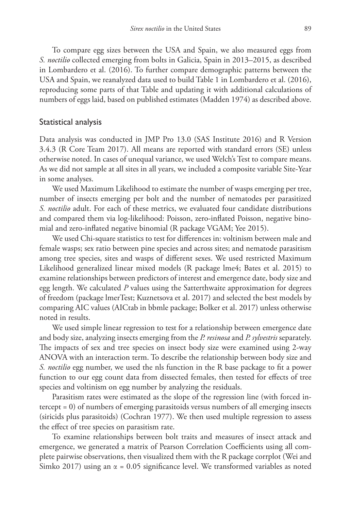To compare egg sizes between the USA and Spain, we also measured eggs from *S. noctilio* collected emerging from bolts in Galicia, Spain in 2013–2015, as described in Lombardero et al. (2016). To further compare demographic patterns between the USA and Spain, we reanalyzed data used to build Table 1 in Lombardero et al. (2016), reproducing some parts of that Table and updating it with additional calculations of numbers of eggs laid, based on published estimates (Madden 1974) as described above.

## Statistical analysis

Data analysis was conducted in JMP Pro 13.0 (SAS Institute 2016) and R Version 3.4.3 (R Core Team 2017). All means are reported with standard errors (SE) unless otherwise noted. In cases of unequal variance, we used Welch's Test to compare means. As we did not sample at all sites in all years, we included a composite variable Site-Year in some analyses.

We used Maximum Likelihood to estimate the number of wasps emerging per tree, number of insects emerging per bolt and the number of nematodes per parasitized *S. noctilio* adult. For each of these metrics, we evaluated four candidate distributions and compared them via log-likelihood: Poisson, zero-inflated Poisson, negative binomial and zero-inflated negative binomial (R package VGAM; Yee 2015).

We used Chi-square statistics to test for differences in: voltinism between male and female wasps; sex ratio between pine species and across sites; and nematode parasitism among tree species, sites and wasps of different sexes. We used restricted Maximum Likelihood generalized linear mixed models (R package lme4; Bates et al. 2015) to examine relationships between predictors of interest and emergence date, body size and egg length. We calculated *P* values using the Satterthwaite approximation for degrees of freedom (package lmerTest; Kuznetsova et al. 2017) and selected the best models by comparing AIC values (AICtab in bbmle package; Bolker et al. 2017) unless otherwise noted in results.

We used simple linear regression to test for a relationship between emergence date and body size, analyzing insects emerging from the *P. resinosa* and *P. sylvestris* separately. The impacts of sex and tree species on insect body size were examined using 2-way ANOVA with an interaction term. To describe the relationship between body size and *S. noctilio* egg number, we used the nls function in the R base package to fit a power function to our egg count data from dissected females, then tested for effects of tree species and voltinism on egg number by analyzing the residuals.

Parasitism rates were estimated as the slope of the regression line (with forced intercept = 0) of numbers of emerging parasitoids versus numbers of all emerging insects (siricids plus parasitoids) (Cochran 1977). We then used multiple regression to assess the effect of tree species on parasitism rate.

To examine relationships between bolt traits and measures of insect attack and emergence, we generated a matrix of Pearson Correlation Coefficients using all complete pairwise observations, then visualized them with the R package corrplot (Wei and Simko 2017) using an  $\alpha$  = 0.05 significance level. We transformed variables as noted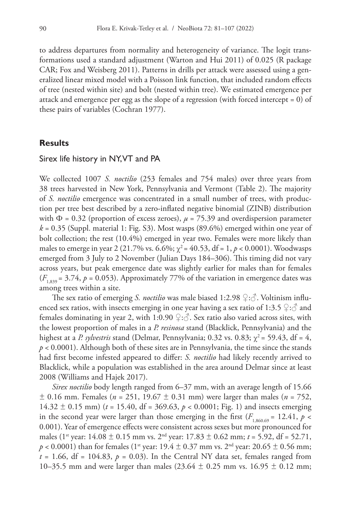to address departures from normality and heterogeneity of variance. The logit transformations used a standard adjustment (Warton and Hui 2011) of 0.025 (R package CAR; Fox and Weisberg 2011). Patterns in drills per attack were assessed using a generalized linear mixed model with a Poisson link function, that included random effects of tree (nested within site) and bolt (nested within tree). We estimated emergence per attack and emergence per egg as the slope of a regression (with forced intercept = 0) of these pairs of variables (Cochran 1977).

# **Results**

# Sirex life history in NY, VT and PA

We collected 1007 *S. noctilio* (253 females and 754 males) over three years from 38 trees harvested in New York, Pennsylvania and Vermont (Table 2). The majority of *S. noctilio* emergence was concentrated in a small number of trees, with production per tree best described by a zero-inflated negative binomial (ZINB) distribution with  $\Phi$  = 0.32 (proportion of excess zeroes),  $\mu$  = 75.39 and overdispersion parameter  $k = 0.35$  (Suppl. material 1: Fig. S3). Most wasps (89.6%) emerged within one year of bolt collection; the rest (10.4%) emerged in year two. Females were more likely than males to emerge in year 2 (21.7% vs. 6.6%;  $\chi^2$  = 40.53, df = 1,  $p$  < 0.0001). Woodwasps emerged from 3 July to 2 November (Julian Days 184–306). This timing did not vary across years, but peak emergence date was slightly earlier for males than for females  $(F_{1,839} = 3.74, p = 0.053)$ . Approximately 77% of the variation in emergence dates was among trees within a site.

The sex ratio of emerging *S. noctilio* was male biased 1:2.98 ♀:♂. Voltinism influenced sex ratios, with insects emerging in one year having a sex ratio of 1:3.5  $\circ$ : $\circ$  and females dominating in year 2, with 1:0.90  $\frac{1}{2}$ :  $\sigma$ . Sex ratio also varied across sites, with the lowest proportion of males in a *P. resinosa* stand (Blacklick, Pennsylvania) and the highest at a *P. sylvestris* stand (Delmar, Pennsylvania; 0.32 vs. 0.83;  $\gamma^2$  = 59.43, df = 4,  $p < 0.0001$ ). Although both of these sites are in Pennsylvania, the time since the stands had first become infested appeared to differ: *S. noctilio* had likely recently arrived to Blacklick, while a population was established in the area around Delmar since at least 2008 (Williams and Hajek 2017).

*Sirex noctilio* body length ranged from 6–37 mm, with an average length of 15.66  $\pm$  0.16 mm. Females (*n* = 251, 19.67  $\pm$  0.31 mm) were larger than males (*n* = 752,  $14.32 \pm 0.15$  mm) ( $t = 15.40$ , df = 369.63,  $p < 0.0001$ ; Fig. 1) and insects emerging in the second year were larger than those emerging in the first  $(F_{1,860.69} = 12.41, p <$ 0.001). Year of emergence effects were consistent across sexes but more pronounced for males (1<sup>st</sup> year: 14.08  $\pm$  0.15 mm vs. 2<sup>nd</sup> year: 17.83  $\pm$  0.62 mm; *t* = 5.92, df = 52.71,  $p < 0.0001$ ) than for females (1<sup>st</sup> year: 19.4  $\pm$  0.37 mm vs. 2<sup>nd</sup> year: 20.65  $\pm$  0.56 mm;  $t = 1.66$ , df = 104.83,  $p = 0.03$ ). In the Central NY data set, females ranged from 10–35.5 mm and were larger than males (23.64  $\pm$  0.25 mm vs. 16.95  $\pm$  0.12 mm;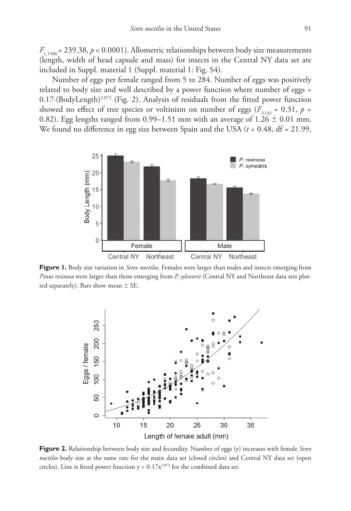$F_{1,1500}$  = 239.38,  $p < 0.0001$ ). Allometric relationships between body size measurements (length, width of head capsule and mass) for insects in the Central NY data set are included in Suppl. material 1 (Suppl. material 1: Fig. S4).

Number of eggs per female ranged from 5 to 284. Number of eggs was positively related to body size and well described by a power function where number of eggs = 0.17∙(BodyLength)2.072 (Fig. 2). Analysis of residuals from the fitted power function showed no effect of tree species or voltinism on number of eggs ( $F_{3,141} = 0.31$ ,  $p =$ 0.82). Egg lengths ranged from 0.99–1.51 mm with an average of  $1.26 \pm 0.01$  mm. We found no difference in egg size between Spain and the USA (*t* = 0.48, df = 21.99,



**Figure 1.** Body size variation in *Sirex noctilio*. Females were larger than males and insects emerging from *Pinus resinosa* were larger than those emerging from *P. sylvestris* (Central NY and Northeast data sets plotted separately). Bars show mean  $\pm$  SE.



**Figure 2.** Relationship between body size and fecundity. Number of eggs (y) increases with female *Sirex noctilio* body size at the same rate for the main data set (closed circles) and Central NY data set (open circles). Line is fitted power function  $y = 0.17x^{2.072}$  for the combined data set.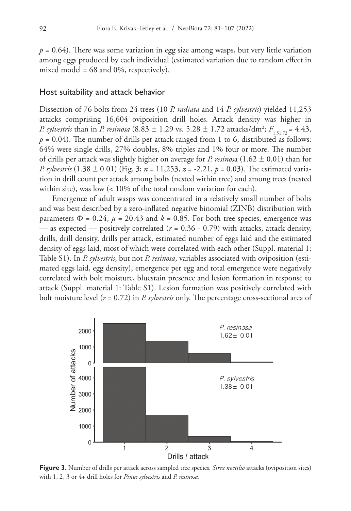$p = 0.64$ ). There was some variation in egg size among wasps, but very little variation among eggs produced by each individual (estimated variation due to random effect in mixed model = 68 and 0%, respectively).

# Host suitability and attack behavior

Dissection of 76 bolts from 24 trees (10 *P. radiata* and 14 *P. sylvestris*) yielded 11,253 attacks comprising 16,604 oviposition drill holes. Attack density was higher in *P. sylvestris* than in *P. resinosa* (8.83  $\pm$  1.29 vs. 5.28  $\pm$  1.72 attacks/dm<sup>2</sup>;  $F_{1,51.72} = 4.43$ ,  $p = 0.04$ ). The number of drills per attack ranged from 1 to 6, distributed as follows: 64% were single drills, 27% doubles, 8% triples and 1% four or more. The number of drills per attack was slightly higher on average for *P. resinos*a (1.62 ± 0.01) than for *P. sylvestris* (1.38 ± 0.01) (Fig. 3; *n* = 11,253, *z* = -2.21, *p* = 0.03). The estimated variation in drill count per attack among bolts (nested within tree) and among trees (nested within site), was low (< 10% of the total random variation for each).

Emergence of adult wasps was concentrated in a relatively small number of bolts and was best described by a zero-inflated negative binomial (ZINB) distribution with parameters  $\Phi = 0.24$ ,  $\mu = 20.43$  and  $k = 0.85$ . For both tree species, emergence was — as expected — positively correlated (*r* = 0.36 - 0.79) with attacks, attack density, drills, drill density, drills per attack, estimated number of eggs laid and the estimated density of eggs laid, most of which were correlated with each other (Suppl. material 1: Table S1). In *P. sylvestris*, but not *P. resinosa*, variables associated with oviposition (estimated eggs laid, egg density), emergence per egg and total emergence were negatively correlated with bolt moisture, bluestain presence and lesion formation in response to attack (Suppl. material 1: Table S1). Lesion formation was positively correlated with bolt moisture level (*r* = 0.72) in *P. sylvestris* only. The percentage cross-sectional area of



**Figure 3.** Number of drills per attack across sampled tree species. *Sirex noctilio* attacks (oviposition sites) with 1, 2, 3 or 4+ drill holes for *Pinus sylvestris* and *P. resinosa*.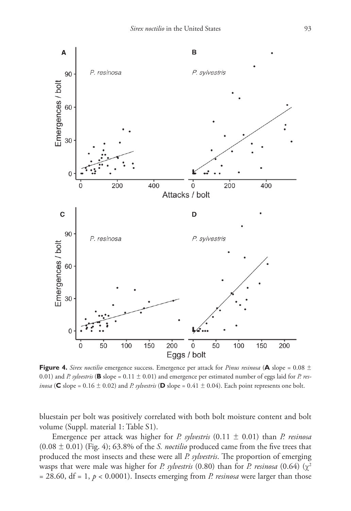

**Figure 4.** *Sirex noctilio* emergence success. Emergence per attack for *Pinus resinosa* (**A** slope = 0.08 ± 0.01) and *P. sylvestris* (**B** slope =  $0.11 \pm 0.01$ ) and emergence per estimated number of eggs laid for *P. resinosa* (**C** slope =  $0.16 \pm 0.02$ ) and *P. sylvestris* (**D** slope =  $0.41 \pm 0.04$ ). Each point represents one bolt.

bluestain per bolt was positively correlated with both bolt moisture content and bolt volume (Suppl. material 1: Table S1).

Emergence per attack was higher for *P. sylvestris* (0.11 ± 0.01) than *P. resinosa*  $(0.08 \pm 0.01)$  (Fig. 4); 63.8% of the *S. noctilio* produced came from the five trees that produced the most insects and these were all *P. sylvestris*. The proportion of emerging wasps that were male was higher for *P. sylvestris* (0.80) than for *P. resinosa* (0.64) (χ<sup>2</sup> = 28.60, df = 1, *p* < 0.0001). Insects emerging from *P. resinosa* were larger than those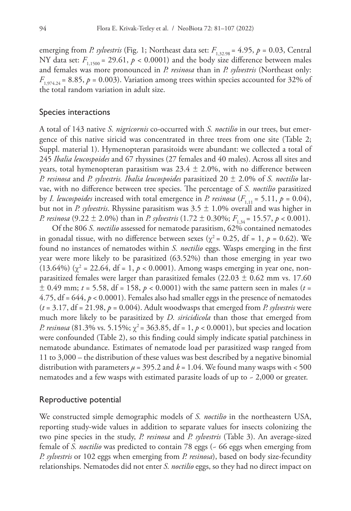emerging from *P. sylvestris* (Fig. 1; Northeast data set:  $F_{1,32.98} = 4.95$ ,  $p = 0.03$ , Central NY data set:  $F_{1,1500}$  = 29.61,  $p < 0.0001$ ) and the body size difference between males and females was more pronounced in *P. resinosa* than in *P. sylvestris* (Northeast only:  $F_{1.974.24}$  = 8.85,  $p = 0.003$ ). Variation among trees within species accounted for 32% of the total random variation in adult size.

#### Species interactions

A total of 143 native *S. nigricornis* co-occurred with *S. noctilio* in our trees, but emergence of this native siricid was concentrated in three trees from one site (Table 2; Suppl. material 1). Hymenopteran parasitoids were abundant: we collected a total of 245 *Ibalia leucospoides* and 67 rhyssines (27 females and 40 males). Across all sites and years, total hymenopteran parasitism was  $23.4 \pm 2.0$ %, with no difference between *P. resinosa* and *P. sylvestris. Ibalia leucospoides* parasitized 20 ± 2.0% of *S. noctilio* larvae, with no difference between tree species. The percentage of *S. noctilio* parasitized by *I. leucospoides* increased with total emergence in *P. resinosa* ( $F_{1,11} = 5.11$ ,  $p = 0.04$ ), but not in *P. sylvestris*. Rhyssine parasitism was 3.5 ± 1.0% overall and was higher in *P. resinosa* (9.22  $\pm$  2.0%) than in *P. sylvestris* (1.72  $\pm$  0.30%; *F*<sub>134</sub> = 15.57, *p* < 0.001).

Of the 806 *S. noctilio* assessed for nematode parasitism, 62% contained nematodes in gonadal tissue, with no difference between sexes ( $\gamma^2$  = 0.25, df = 1,  $p$  = 0.62). We found no instances of nematodes within *S. noctilio* eggs. Wasps emerging in the first year were more likely to be parasitized (63.52%) than those emerging in year two (13.64%) ( $\chi^2$  = 22.64, df = 1,  $p$  < 0.0001). Among wasps emerging in year one, nonparasitized females were larger than parasitized females (22.03  $\pm$  0.62 mm vs. 17.60  $\pm$  0.49 mm; *t* = 5.58, df = 158, *p* < 0.0001) with the same pattern seen in males (*t* = 4.75,  $df = 644$ ,  $p < 0.0001$ ). Females also had smaller eggs in the presence of nematodes  $(t = 3.17, df = 21.98, p = 0.004)$ . Adult woodwasps that emerged from *P. sylvestris* were much more likely to be parasitized by *D. siricidicola* than those that emerged from *P. resinosa* (81.3% vs. 5.15%;  $\chi^2$  = 363.85, df = 1,  $p$  < 0.0001), but species and location were confounded (Table 2), so this finding could simply indicate spatial patchiness in nematode abundance. Estimates of nematode load per parasitized wasp ranged from 11 to 3,000 – the distribution of these values was best described by a negative binomial distribution with parameters  $\mu$  = 395.2 and  $k$  = 1.04. We found many wasps with < 500 nematodes and a few wasps with estimated parasite loads of up to  $\sim$  2,000 or greater.

#### Reproductive potential

We constructed simple demographic models of *S. noctilio* in the northeastern USA, reporting study-wide values in addition to separate values for insects colonizing the two pine species in the study, *P. resinosa* and *P. sylvestris* (Table 3). An average-sized female of *S. noctilio* was predicted to contain 78 eggs (~ 66 eggs when emerging from *P. sylvestris* or 102 eggs when emerging from *P. resinosa*), based on body size-fecundity relationships. Nematodes did not enter *S. noctilio* eggs, so they had no direct impact on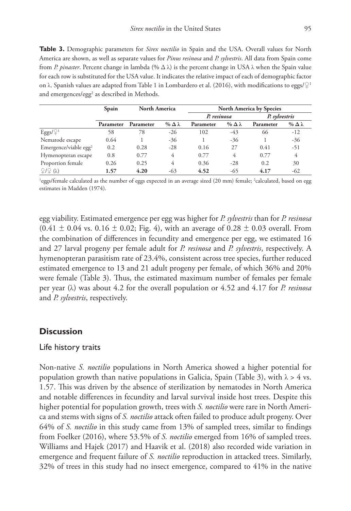**Table 3.** Demographic parameters for *Sirex noctilio* in Spain and the USA. Overall values for North America are shown, as well as separate values for *Pinus resinosa* and *P. sylvestris*. All data from Spain come from *P. pinaster*. Percent change in lambda (% Δ λ) is the percent change in USA λ when the Spain value for each row is substituted for the USA value. It indicates the relative impact of each of demographic factor on λ. Spanish values are adapted from Table 1 in Lombardero et al. (2016), with modifications to eggs/ $\mathcal{Q}^1$ and emergences/egg<sup>2</sup> as described in Methods.

|                                   | Spain     | <b>North America</b> |                      | <b>North America by Species</b> |        |               |                      |  |
|-----------------------------------|-----------|----------------------|----------------------|---------------------------------|--------|---------------|----------------------|--|
|                                   |           |                      |                      | P. resinosa                     |        | P. sylvestris |                      |  |
|                                   | Parameter | Parameter            | $%$ $\Delta \lambda$ | Parameter                       | $%$ Δλ | Parameter     | $%$ $\Delta \lambda$ |  |
| Eggs/ $\mathcal{Q}^1$             | 58        | 78                   | -26                  | 102                             | -43    | 66            | $-12$                |  |
| Nematode escape                   | 0.64      |                      | -36                  |                                 | $-36$  |               | $-36$                |  |
| Emergence/viable egg <sup>2</sup> | 0.2       | 0.28                 | $-28$                | 0.16                            | 27     | 0.41          | $-51$                |  |
| Hymenopteran escape               | 0.8       | 0.77                 | 4                    | 0.77                            | 4      | 0.77          | 4                    |  |
| Proportion female                 | 0.26      | 0.25                 | 4                    | 0.36                            | $-28$  | 0.2           | 30                   |  |
| $9/9$ ( $\lambda$ )               | 1.57      | 4.20                 | -63                  | 4.52                            | $-65$  | 4.17          | -62                  |  |

<sup>1</sup>eggs/female calculated as the number of eggs expected in an average sized (20 mm) female; <sup>2</sup>calculated, based on egg estimates in Madden (1974).

egg viability. Estimated emergence per egg was higher for *P. sylvestris* than for *P. resinosa*  $(0.41 \pm 0.04 \text{ vs. } 0.16 \pm 0.02$ ; Fig. 4), with an average of  $0.28 \pm 0.03$  overall. From the combination of differences in fecundity and emergence per egg, we estimated 16 and 27 larval progeny per female adult for *P. resinosa* and *P. sylvestris*, respectively. A hymenopteran parasitism rate of 23.4%, consistent across tree species, further reduced estimated emergence to 13 and 21 adult progeny per female, of which 36% and 20% were female (Table 3). Thus, the estimated maximum number of females per female per year (λ) was about 4.2 for the overall population or 4.52 and 4.17 for *P. resinosa* and *P. sylvestris*, respectively.

# **Discussion**

#### Life history traits

Non-native *S. noctilio* populations in North America showed a higher potential for population growth than native populations in Galicia, Spain (Table 3), with  $\lambda > 4$  vs. 1.57. This was driven by the absence of sterilization by nematodes in North America and notable differences in fecundity and larval survival inside host trees. Despite this higher potential for population growth, trees with *S. noctilio* were rare in North America and stems with signs of *S. noctilio* attack often failed to produce adult progeny. Over 64% of *S. noctilio* in this study came from 13% of sampled trees, similar to findings from Foelker (2016), where 53.5% of *S. noctilio* emerged from 16% of sampled trees. Williams and Hajek (2017) and Haavik et al. (2018) also recorded wide variation in emergence and frequent failure of *S. noctilio* reproduction in attacked trees. Similarly, 32% of trees in this study had no insect emergence, compared to 41% in the native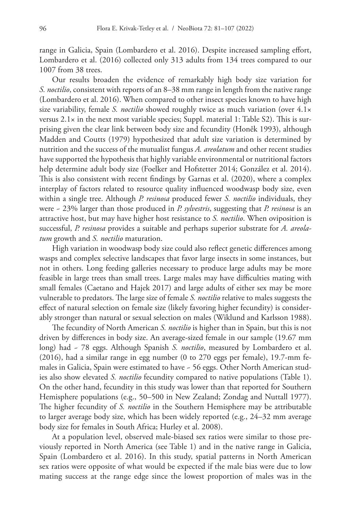range in Galicia, Spain (Lombardero et al. 2016). Despite increased sampling effort, Lombardero et al. (2016) collected only 313 adults from 134 trees compared to our 1007 from 38 trees.

Our results broaden the evidence of remarkably high body size variation for *S. noctilio*, consistent with reports of an 8–38 mm range in length from the native range (Lombardero et al. 2016). When compared to other insect species known to have high size variability, female *S. noctilio* showed roughly twice as much variation (over 4.1× versus  $2.1 \times$  in the next most variable species; Suppl. material 1: Table S2). This is surprising given the clear link between body size and fecundity (Honěk 1993), although Madden and Coutts (1979) hypothesized that adult size variation is determined by nutrition and the success of the mutualist fungus *A. areolatum* and other recent studies have supported the hypothesis that highly variable environmental or nutritional factors help determine adult body size (Foelker and Hofstetter 2014; González et al. 2014). This is also consistent with recent findings by Garnas et al. (2020), where a complex interplay of factors related to resource quality influenced woodwasp body size, even within a single tree. Although *P. resinosa* produced fewer *S. noctilio* individuals, they were ~ 23% larger than those produced in *P. sylvestris*, suggesting that *P. resinosa* is an attractive host, but may have higher host resistance to *S. noctilio*. When oviposition is successful, *P. resinosa* provides a suitable and perhaps superior substrate for *A. areolatum* growth and *S. noctilio* maturation.

High variation in woodwasp body size could also reflect genetic differences among wasps and complex selective landscapes that favor large insects in some instances, but not in others. Long feeding galleries necessary to produce large adults may be more feasible in large trees than small trees. Large males may have difficulties mating with small females (Caetano and Hajek 2017) and large adults of either sex may be more vulnerable to predators. The large size of female *S. noctilio* relative to males suggests the effect of natural selection on female size (likely favoring higher fecundity) is considerably stronger than natural or sexual selection on males (Wiklund and Karlsson 1988).

The fecundity of North American *S. noctilio* is higher than in Spain, but this is not driven by differences in body size. An average-sized female in our sample (19.67 mm long) had ~ 78 eggs. Although Spanish *S. noctilio*, measured by Lombardero et al. (2016), had a similar range in egg number (0 to 270 eggs per female), 19.7-mm females in Galicia, Spain were estimated to have ~ 56 eggs. Other North American studies also show elevated *S. noctilio* fecundity compared to native populations (Table 1). On the other hand, fecundity in this study was lower than that reported for Southern Hemisphere populations (e.g., 50–500 in New Zealand; Zondag and Nuttall 1977). The higher fecundity of *S. noctilio* in the Southern Hemisphere may be attributable to larger average body size, which has been widely reported (e.g., 24–32 mm average body size for females in South Africa; Hurley et al. 2008).

At a population level, observed male-biased sex ratios were similar to those previously reported in North America (see Table 1) and in the native range in Galicia, Spain (Lombardero et al. 2016). In this study, spatial patterns in North American sex ratios were opposite of what would be expected if the male bias were due to low mating success at the range edge since the lowest proportion of males was in the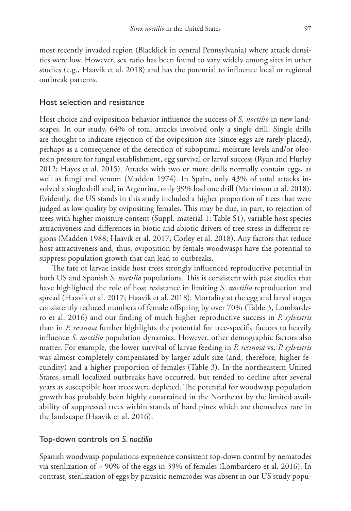most recently invaded region (Blacklick in central Pennsylvania) where attack densities were low. However, sex ratio has been found to vary widely among sites in other studies (e.g., Haavik et al. 2018) and has the potential to influence local or regional outbreak patterns.

# Host selection and resistance

Host choice and oviposition behavior influence the success of *S. noctilio* in new landscapes. In our study, 64% of total attacks involved only a single drill. Single drills are thought to indicate rejection of the oviposition site (since eggs are rarely placed), perhaps as a consequence of the detection of suboptimal moisture levels and/or oleoresin pressure for fungal establishment, egg survival or larval success (Ryan and Hurley 2012; Hayes et al. 2015). Attacks with two or more drills normally contain eggs, as well as fungi and venom (Madden 1974). In Spain, only 43% of total attacks involved a single drill and, in Argentina, only 39% had one drill (Martinson et al. 2018). Evidently, the US stands in this study included a higher proportion of trees that were judged as low quality by ovipositing females. This may be due, in part, to rejection of trees with higher moisture content (Suppl. material 1: Table S1), variable host species attractiveness and differences in biotic and abiotic drivers of tree stress in different regions (Madden 1988; Haavik et al. 2017; Corley et al. 2018). Any factors that reduce host attractiveness and, thus, oviposition by female woodwasps have the potential to suppress population growth that can lead to outbreaks.

The fate of larvae inside host trees strongly influenced reproductive potential in both US and Spanish *S. noctilio* populations. This is consistent with past studies that have highlighted the role of host resistance in limiting *S. noctilio* reproduction and spread (Haavik et al. 2017; Haavik et al. 2018). Mortality at the egg and larval stages consistently reduced numbers of female offspring by over 70% (Table 3, Lombardero et al. 2016) and our finding of much higher reproductive success in *P. sylvestris* than in *P. resinosa* further highlights the potential for tree-specific factors to heavily influence *S. noctilio* population dynamics. However, other demographic factors also matter. For example, the lower survival of larvae feeding in *P. resinosa* vs. *P. sylvestris* was almost completely compensated by larger adult size (and, therefore, higher fecundity) and a higher proportion of females (Table 3). In the northeastern United States, small localized outbreaks have occurred, but tended to decline after several years as susceptible host trees were depleted. The potential for woodwasp population growth has probably been highly constrained in the Northeast by the limited availability of suppressed trees within stands of hard pines which are themselves rare in the landscape (Haavik et al. 2016).

# Top-down controls on *S. noctilio*

Spanish woodwasp populations experience consistent top-down control by nematodes via sterilization of ~ 90% of the eggs in 39% of females (Lombardero et al. 2016). In contrast, sterilization of eggs by parasitic nematodes was absent in our US study popu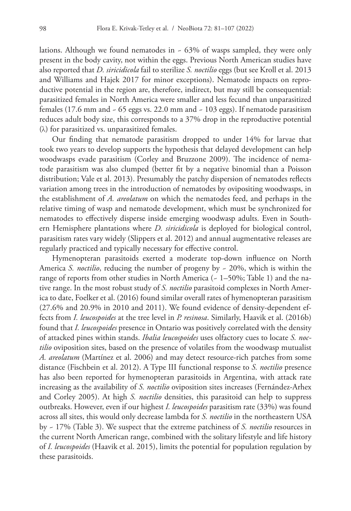lations. Although we found nematodes in  $\sim 63\%$  of wasps sampled, they were only present in the body cavity, not within the eggs. Previous North American studies have also reported that *D. siricidicola* fail to sterilize *S. noctilio* eggs (but see Kroll et al. 2013 and Williams and Hajek 2017 for minor exceptions). Nematode impacts on reproductive potential in the region are, therefore, indirect, but may still be consequential: parasitized females in North America were smaller and less fecund than unparasitized females (17.6 mm and  $\sim$  65 eggs vs. 22.0 mm and  $\sim$  103 eggs). If nematode parasitism reduces adult body size, this corresponds to a 37% drop in the reproductive potential (λ) for parasitized vs. unparasitized females.

Our finding that nematode parasitism dropped to under 14% for larvae that took two years to develop supports the hypothesis that delayed development can help woodwasps evade parasitism (Corley and Bruzzone 2009). The incidence of nematode parasitism was also clumped (better fit by a negative binomial than a Poisson distribution; Vale et al. 2013). Presumably the patchy dispersion of nematodes reflects variation among trees in the introduction of nematodes by ovipositing woodwasps, in the establishment of *A. areolatum* on which the nematodes feed, and perhaps in the relative timing of wasp and nematode development, which must be synchronized for nematodes to effectively disperse inside emerging woodwasp adults. Even in Southern Hemisphere plantations where *D. siricidicola* is deployed for biological control, parasitism rates vary widely (Slippers et al. 2012) and annual augmentative releases are regularly practiced and typically necessary for effective control.

Hymenopteran parasitoids exerted a moderate top-down influence on North America *S. noctilio*, reducing the number of progeny by ~ 20%, which is within the range of reports from other studies in North America ( $\sim 1-50\%$ ; Table 1) and the native range. In the most robust study of *S. noctilio* parasitoid complexes in North America to date, Foelker et al. (2016) found similar overall rates of hymenopteran parasitism (27.6% and 20.9% in 2010 and 2011). We found evidence of density-dependent effects from *I. leucospoides* at the tree level in *P. resinosa*. Similarly, Haavik et al. (2016b) found that *I. leucospoides* presence in Ontario was positively correlated with the density of attacked pines within stands. *Ibalia leucospoides* uses olfactory cues to locate *S. noctilio* oviposition sites, based on the presence of volatiles from the woodwasp mutualist *A. areolatum* (Martínez et al. 2006) and may detect resource-rich patches from some distance (Fischbein et al. 2012). A Type III functional response to *S. noctilio* presence has also been reported for hymenopteran parasitoids in Argentina, with attack rate increasing as the availability of *S. noctilio* oviposition sites increases (Fernández-Arhex and Corley 2005). At high *S. noctilio* densities, this parasitoid can help to suppress outbreaks. However, even if our highest *I. leucospoides* parasitism rate (33%) was found across all sites, this would only decrease lambda for *S. noctilio* in the northeastern USA by ~ 17% (Table 3). We suspect that the extreme patchiness of *S. noctilio* resources in the current North American range, combined with the solitary lifestyle and life history of *I. leucospoides* (Haavik et al. 2015), limits the potential for population regulation by these parasitoids.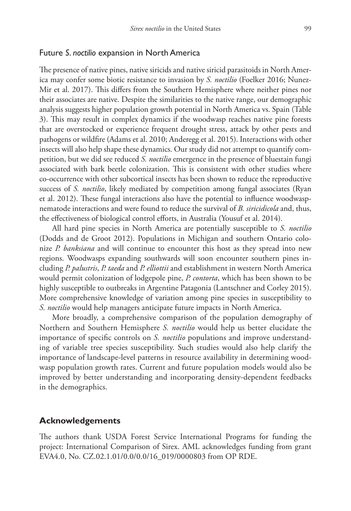# Future *S. noctilio* expansion in North America

The presence of native pines, native siricids and native siricid parasitoids in North America may confer some biotic resistance to invasion by *S. noctilio* (Foelker 2016; Nunez-Mir et al. 2017). This differs from the Southern Hemisphere where neither pines nor their associates are native. Despite the similarities to the native range, our demographic analysis suggests higher population growth potential in North America vs. Spain (Table 3). This may result in complex dynamics if the woodwasp reaches native pine forests that are overstocked or experience frequent drought stress, attack by other pests and pathogens or wildfire (Adams et al. 2010; Anderegg et al. 2015). Interactions with other insects will also help shape these dynamics. Our study did not attempt to quantify competition, but we did see reduced *S. noctilio* emergence in the presence of bluestain fungi associated with bark beetle colonization. This is consistent with other studies where co-occurrence with other subcortical insects has been shown to reduce the reproductive success of *S. noctilio*, likely mediated by competition among fungal associates (Ryan et al. 2012). These fungal interactions also have the potential to influence woodwaspnematode interactions and were found to reduce the survival of *B. siricidicola* and, thus, the effectiveness of biological control efforts, in Australia (Yousuf et al. 2014).

All hard pine species in North America are potentially susceptible to *S. noctilio* (Dodds and de Groot 2012). Populations in Michigan and southern Ontario colonize *P. banksiana* and will continue to encounter this host as they spread into new regions. Woodwasps expanding southwards will soon encounter southern pines including *P. palustris*, *P. taeda* and *P. elliottii* and establishment in western North America would permit colonization of lodgepole pine, *P. contorta*, which has been shown to be highly susceptible to outbreaks in Argentine Patagonia (Lantschner and Corley 2015). More comprehensive knowledge of variation among pine species in susceptibility to *S. noctilio* would help managers anticipate future impacts in North America.

More broadly, a comprehensive comparison of the population demography of Northern and Southern Hemisphere *S. noctilio* would help us better elucidate the importance of specific controls on *S. noctilio* populations and improve understanding of variable tree species susceptibility. Such studies would also help clarify the importance of landscape-level patterns in resource availability in determining woodwasp population growth rates. Current and future population models would also be improved by better understanding and incorporating density-dependent feedbacks in the demographics.

# **Acknowledgements**

The authors thank USDA Forest Service International Programs for funding the project: International Comparison of Sirex. AML acknowledges funding from grant EVA4.0, No. CZ.02.1.01/0.0/0.0/16\_019/0000803 from OP RDE.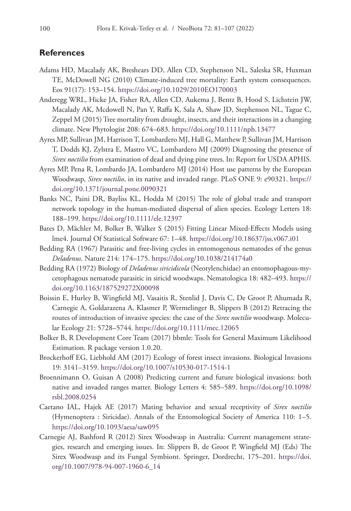# **References**

- Adams HD, Macalady AK, Breshears DD, Allen CD, Stephenson NL, Saleska SR, Huxman TE, McDowell NG (2010) Climate-induced tree mortality: Earth system consequences. Eos 91(17): 153–154.<https://doi.org/10.1029/2010EO170003>
- Anderegg WRL, Hicke JA, Fisher RA, Allen CD, Aukema J, Bentz B, Hood S, Lichstein JW, Macalady AK, Mcdowell N, Pan Y, Raffa K, Sala A, Shaw JD, Stephenson NL, Tague C, Zeppel M (2015) Tree mortality from drought, insects, and their interactions in a changing climate. New Phytologist 208: 674–683.<https://doi.org/10.1111/nph.13477>
- Ayres MP, Sullivan JM, Harrison T, Lombardero MJ, Hall G, Matthew P, Sullivan JM, Harrison T, Dodds KJ, Zylstra E, Mastro VC, Lombardero MJ (2009) Diagnosing the presence of *Sirex noctilio* from examination of dead and dying pine trees. In: Report for USDA APHIS.
- Ayres MP, Pena R, Lombardo JA, Lombardero MJ (2014) Host use patterns by the European Woodwasp, *Sirex noctilio*, in its native and invaded range. PLoS ONE 9: e90321. [https://](https://doi.org/10.1371/journal.pone.0090321) [doi.org/10.1371/journal.pone.0090321](https://doi.org/10.1371/journal.pone.0090321)
- Banks NC, Paini DR, Bayliss KL, Hodda M (2015) The role of global trade and transport network topology in the human-mediated dispersal of alien species. Ecology Letters 18: 188–199.<https://doi.org/10.1111/ele.12397>
- Bates D, Mächler M, Bolker B, Walker S (2015) Fitting Linear Mixed-Effects Models using lme4. Journal Of Statistical Software 67: 1–48. <https://doi.org/10.18637/jss.v067.i01>
- Bedding RA (1967) Parasitic and free-living cycles in entomogenous nematodes of the genus *Deladenus*. Nature 214: 174–175.<https://doi.org/10.1038/214174a0>
- Bedding RA (1972) Biology of *Deladenus siricidicola* (Neotylenchidae) an entomophagous-mycetophagous nematode parasitic in siricid woodwaps. Nematologica 18: 482–493. [https://](https://doi.org/10.1163/187529272X00098) [doi.org/10.1163/187529272X00098](https://doi.org/10.1163/187529272X00098)
- Boissin E, Hurley B, Wingfield MJ, Vasaitis R, Stenlid J, Davis C, De Groot P, Ahumada R, Carnegie A, Goldarazena A, Klasmer P, Wermelinger B, Slippers B (2012) Retracing the routes of introduction of invasive species: the case of the *Sirex noctilio* woodwasp. Molecular Ecology 21: 5728–5744.<https://doi.org/10.1111/mec.12065>
- Bolker B, R Development Core Team (2017) bbmle: Tools for General Maximum Likelihood Estimation. R package version 1.0.20.
- Brockerhoff EG, Liebhold AM (2017) Ecology of forest insect invasions. Biological Invasions 19: 3141–3159.<https://doi.org/10.1007/s10530-017-1514-1>
- Broennimann O, Guisan A (2008) Predicting current and future biological invasions: both native and invaded ranges matter. Biology Letters 4: 585–589. [https://doi.org/10.1098/](https://doi.org/10.1098/rsbl.2008.0254) [rsbl.2008.0254](https://doi.org/10.1098/rsbl.2008.0254)
- Caetano IAL, Hajek AE (2017) Mating behavior and sexual receptivity of *Sirex noctilio* (Hymenoptera : Siricidae). Annals of the Entomological Society of America 110: 1–5. <https://doi.org/10.1093/aesa/saw095>
- Carnegie AJ, Bashford R (2012) Sirex Woodwasp in Australia: Current management strategies, research and emerging issues. In: Slippers B, de Groot P, Wingfield MJ (Eds) The Sirex Woodwasp and its Fungal Symbiont. Springer, Dordrecht, 175–201. [https://doi.](https://doi.org/10.1007/978-94-007-1960-6_14) [org/10.1007/978-94-007-1960-6\\_14](https://doi.org/10.1007/978-94-007-1960-6_14)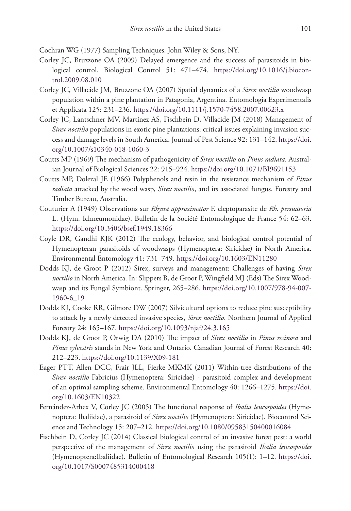Cochran WG (1977) Sampling Techniques. John Wiley & Sons, NY.

- Corley JC, Bruzzone OA (2009) Delayed emergence and the success of parasitoids in biological control. Biological Control 51: 471–474. [https://doi.org/10.1016/j.biocon](https://doi.org/10.1016/j.biocontrol.2009.08.010)[trol.2009.08.010](https://doi.org/10.1016/j.biocontrol.2009.08.010)
- Corley JC, Villacide JM, Bruzzone OA (2007) Spatial dynamics of a *Sirex noctilio* woodwasp population within a pine plantation in Patagonia, Argentina. Entomologia Experimentalis et Applicata 125: 231–236. <https://doi.org/10.1111/j.1570-7458.2007.00623.x>
- Corley JC, Lantschner MV, Martínez AS, Fischbein D, Villacide JM (2018) Management of *Sirex noctilio* populations in exotic pine plantations: critical issues explaining invasion success and damage levels in South America. Journal of Pest Science 92: 131–142. [https://doi.](https://doi.org/10.1007/s10340-018-1060-3) [org/10.1007/s10340-018-1060-3](https://doi.org/10.1007/s10340-018-1060-3)
- Coutts MP (1969) The mechanism of pathogenicity of *Sirex noctilio* on *Pinus radiata*. Australian Journal of Biological Sciences 22: 915–924. <https://doi.org/10.1071/BI9691153>
- Coutts MP, Dolezal JE (1966) Polyphenols and resin in the resistance mechanism of *Pinus radiata* attacked by the wood wasp, *Sirex noctilio*, and its associated fungus. Forestry and Timber Bureau, Australia.
- Couturier A (1949) Observations sur *Rhyssa approximator* F. cleptoparasite de *Rh. persuasoria* L. (Hym. Ichneumonidae). Bulletin de la Société Entomologique de France 54: 62–63. <https://doi.org/10.3406/bsef.1949.18366>
- Coyle DR, Gandhi KJK (2012) The ecology, behavior, and biological control potential of Hymenopteran parasitoids of woodwasps (Hymenoptera: Siricidae) in North America. Environmental Entomology 41: 731–749.<https://doi.org/10.1603/EN11280>
- Dodds KJ, de Groot P (2012) Sirex, surveys and management: Challenges of having *Sirex noctilio* in North America. In: Slippers B, de Groot P, Wingfield MJ (Eds) The Sirex Woodwasp and its Fungal Symbiont. Springer, 265–286. [https://doi.org/10.1007/978-94-007-](https://doi.org/10.1007/978-94-007-1960-6_19) [1960-6\\_19](https://doi.org/10.1007/978-94-007-1960-6_19)
- Dodds KJ, Cooke RR, Gilmore DW (2007) Silvicultural options to reduce pine susceptibility to attack by a newly detected invasive species, *Sirex noctilio*. Northern Journal of Applied Forestry 24: 165–167.<https://doi.org/10.1093/njaf/24.3.165>
- Dodds KJ, de Groot P, Orwig DA (2010) The impact of *Sirex noctilio* in *Pinus resinosa* and *Pinus sylvestris* stands in New York and Ontario. Canadian Journal of Forest Research 40: 212–223.<https://doi.org/10.1139/X09-181>
- Eager PTT, Allen DCC, Frair JLL, Fierke MKMK (2011) Within-tree distributions of the *Sirex noctilio* Fabricius (Hymenoptera: Siricidae) - parasitoid complex and development of an optimal sampling scheme. Environmental Entomology 40: 1266–1275. [https://doi.](https://doi.org/10.1603/EN10322) [org/10.1603/EN10322](https://doi.org/10.1603/EN10322)
- Fernández-Arhex V, Corley JC (2005) The functional response of *Ibalia leucospoides* (Hymenoptera: Ibaliidae), a parasitoid of *Sirex noctilio* (Hymenoptera: Siricidae). Biocontrol Science and Technology 15: 207–212. <https://doi.org/10.1080/09583150400016084>
- Fischbein D, Corley JC (2014) Classical biological control of an invasive forest pest: a world perspective of the management of *Sirex noctilio* using the parasitoid *Ibalia leucospoides* (Hymenoptera:Ibaliidae). Bulletin of Entomological Research 105(1): 1–12. [https://doi.](https://doi.org/10.1017/S0007485314000418) [org/10.1017/S0007485314000418](https://doi.org/10.1017/S0007485314000418)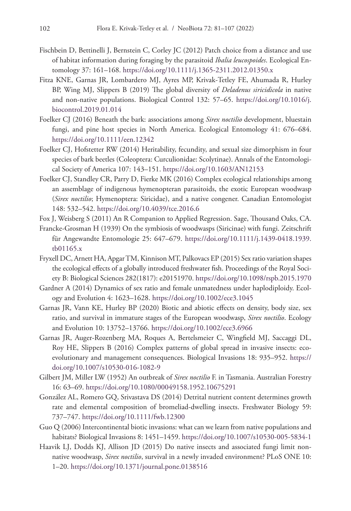- Fischbein D, Bettinelli J, Bernstein C, Corley JC (2012) Patch choice from a distance and use of habitat information during foraging by the parasitoid *Ibalia leucospoides*. Ecological Entomology 37: 161–168. <https://doi.org/10.1111/j.1365-2311.2012.01350.x>
- Fitza KNE, Garnas JR, Lombardero MJ, Ayres MP, Krivak-Tetley FE, Ahumada R, Hurley BP, Wing MJ, Slippers B (2019) The global diversity of *Deladenus siricidicola* in native and non-native populations. Biological Control 132: 57–65. [https://doi.org/10.1016/j.](https://doi.org/10.1016/j.biocontrol.2019.01.014) [biocontrol.2019.01.014](https://doi.org/10.1016/j.biocontrol.2019.01.014)
- Foelker CJ (2016) Beneath the bark: associations among *Sirex noctilio* development, bluestain fungi, and pine host species in North America. Ecological Entomology 41: 676–684. <https://doi.org/10.1111/een.12342>
- Foelker CJ, Hofstetter RW (2014) Heritability, fecundity, and sexual size dimorphism in four species of bark beetles (Coleoptera: Curculionidae: Scolytinae). Annals of the Entomological Society of America 107: 143–151.<https://doi.org/10.1603/AN12153>
- Foelker CJ, Standley CR, Parry D, Fierke MK (2016) Complex ecological relationships among an assemblage of indigenous hymenopteran parasitoids, the exotic European woodwasp (*Sirex noctilio*; Hymenoptera: Siricidae), and a native congener. Canadian Entomologist 148: 532–542.<https://doi.org/10.4039/tce.2016.6>
- Fox J, Weisberg S (2011) An R Companion to Applied Regression. Sage, Thousand Oaks, CA.
- Francke-Grosman H (1939) On the symbiosis of woodwasps (Siricinae) with fungi. Zeitschrift für Angewandte Entomologie 25: 647–679. [https://doi.org/10.1111/j.1439-0418.1939.](https://doi.org/10.1111/j.1439-0418.1939.tb01165.x) [tb01165.x](https://doi.org/10.1111/j.1439-0418.1939.tb01165.x)
- Fryxell DC, Arnett HA, Apgar TM, Kinnison MT, Palkovacs EP (2015) Sex ratio variation shapes the ecological effects of a globally introduced freshwater fish. Proceedings of the Royal Society B: Biological Sciences 282(1817): e20151970. <https://doi.org/10.1098/rspb.2015.1970>
- Gardner A (2014) Dynamics of sex ratio and female unmatedness under haplodiploidy. Ecology and Evolution 4: 1623–1628.<https://doi.org/10.1002/ece3.1045>
- Garnas JR, Vann KE, Hurley BP (2020) Biotic and abiotic effects on density, body size, sex ratio, and survival in immature stages of the European woodwasp, *Sirex noctilio*. Ecology and Evolution 10: 13752–13766. <https://doi.org/10.1002/ece3.6966>
- Garnas JR, Auger-Rozenberg MA, Roques A, Bertelsmeier C, Wingfield MJ, Saccaggi DL, Roy HE, Slippers B (2016) Complex patterns of global spread in invasive insects: ecoevolutionary and management consequences. Biological Invasions 18: 935–952. [https://](https://doi.org/10.1007/s10530-016-1082-9) [doi.org/10.1007/s10530-016-1082-9](https://doi.org/10.1007/s10530-016-1082-9)
- Gilbert JM, Miller LW (1952) An outbreak of *Sirex noctilio* F. in Tasmania. Australian Forestry 16: 63–69.<https://doi.org/10.1080/00049158.1952.10675291>
- González AL, Romero GQ, Srivastava DS (2014) Detrital nutrient content determines growth rate and elemental composition of bromeliad-dwelling insects. Freshwater Biology 59: 737–747.<https://doi.org/10.1111/fwb.12300>
- Guo Q (2006) Intercontinental biotic invasions: what can we learn from native populations and habitats? Biological Invasions 8: 1451–1459. <https://doi.org/10.1007/s10530-005-5834-1>
- Haavik LJ, Dodds KJ, Allison JD (2015) Do native insects and associated fungi limit nonnative woodwasp, *Sirex noctilio*, survival in a newly invaded environment? PLoS ONE 10: 1–20.<https://doi.org/10.1371/journal.pone.0138516>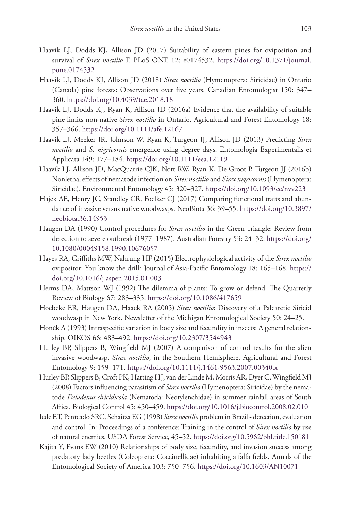- Haavik LJ, Dodds KJ, Allison JD (2017) Suitability of eastern pines for oviposition and survival of *Sirex noctilio* F. PLoS ONE 12: e0174532. [https://doi.org/10.1371/journal.](https://doi.org/10.1371/journal.pone.0174532) [pone.0174532](https://doi.org/10.1371/journal.pone.0174532)
- Haavik LJ, Dodds KJ, Allison JD (2018) *Sirex noctilio* (Hymenoptera: Siricidae) in Ontario (Canada) pine forests: Observations over five years. Canadian Entomologist 150: 347– 360.<https://doi.org/10.4039/tce.2018.18>
- Haavik LJ, Dodds KJ, Ryan K, Allison JD (2016a) Evidence that the availability of suitable pine limits non-native *Sirex noctilio* in Ontario. Agricultural and Forest Entomology 18: 357–366.<https://doi.org/10.1111/afe.12167>
- Haavik LJ, Meeker JR, Johnson W, Ryan K, Turgeon JJ, Allison JD (2013) Predicting *Sirex noctilio* and *S. nigricornis* emergence using degree days. Entomologia Experimentalis et Applicata 149: 177–184.<https://doi.org/10.1111/eea.12119>
- Haavik LJ, Allison JD, MacQuarrie CJK, Nott RW, Ryan K, De Groot P, Turgeon JJ (2016b) Nonlethal effects of nematode infection on *Sirex noctilio* and *Sirex nigricornis* (Hymenoptera: Siricidae). Environmental Entomology 45: 320–327. <https://doi.org/10.1093/ee/nvv223>
- Hajek AE, Henry JC, Standley CR, Foelker CJ (2017) Comparing functional traits and abundance of invasive versus native woodwasps. NeoBiota 36: 39–55. [https://doi.org/10.3897/](https://doi.org/10.3897/neobiota.36.14953) [neobiota.36.14953](https://doi.org/10.3897/neobiota.36.14953)
- Haugen DA (1990) Control procedures for *Sirex noctilio* in the Green Triangle: Review from detection to severe outbreak (1977–1987). Australian Forestry 53: 24–32. [https://doi.org/](https://doi.org/10.1080/00049158.1990.10676057) [10.1080/00049158.1990.10676057](https://doi.org/10.1080/00049158.1990.10676057)
- Hayes RA, Griffiths MW, Nahrung HF (2015) Electrophysiological activity of the *Sirex noctilio* ovipositor: You know the drill? Journal of Asia-Pacific Entomology 18: 165–168. [https://](https://doi.org/10.1016/j.aspen.2015.01.003) [doi.org/10.1016/j.aspen.2015.01.003](https://doi.org/10.1016/j.aspen.2015.01.003)
- Herms DA, Mattson WJ (1992) The dilemma of plants: To grow or defend. The Quarterly Review of Biology 67: 283–335.<https://doi.org/10.1086/417659>
- Hoebeke ER, Haugen DA, Haack RA (2005) *Sirex noctilio*: Discovery of a Palearctic Siricid woodwasp in New York. Newsletter of the Michigan Entomological Society 50: 24–25.
- Honěk A (1993) Intraspecific variation in body size and fecundity in insects: A general relationship. OIKOS 66: 483–492.<https://doi.org/10.2307/3544943>
- Hurley BP, Slippers B, Wingfield MJ (2007) A comparison of control results for the alien invasive woodwasp, *Sirex noctilio*, in the Southern Hemisphere. Agricultural and Forest Entomology 9: 159–171. <https://doi.org/10.1111/j.1461-9563.2007.00340.x>
- Hurley BP, Slippers B, Croft PK, Hatting HJ, van der Linde M, Morris AR, Dyer C, Wingfield MJ (2008) Factors influencing parasitism of *Sirex noctilio* (Hymenoptera: Siricidae) by the nematode *Deladenus siricidicola* (Nematoda: Neotylenchidae) in summer rainfall areas of South Africa. Biological Control 45: 450–459.<https://doi.org/10.1016/j.biocontrol.2008.02.010>
- Iede ET, Penteado SRC, Schaitza EG (1998) *Sirex noctilio* problem in Brazil detection, evaluation and control. In: Proceedings of a conference: Training in the control of *Sirex noctilio* by use of natural enemies. USDA Forest Service, 45–52. <https://doi.org/10.5962/bhl.title.150181>
- Kajita Y, Evans EW (2010) Relationships of body size, fecundity, and invasion success among predatory lady beetles (Coleoptera: Coccinellidae) inhabiting alfalfa fields. Annals of the Entomological Society of America 103: 750–756.<https://doi.org/10.1603/AN10071>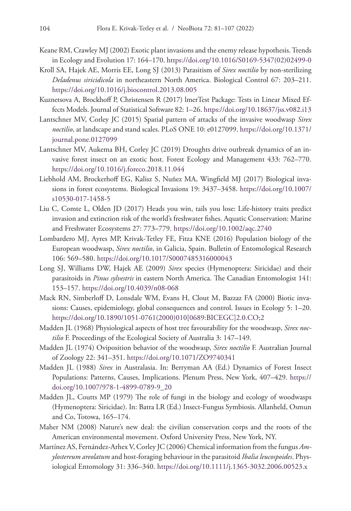- Keane RM, Crawley MJ (2002) Exotic plant invasions and the enemy release hypothesis. Trends in Ecology and Evolution 17: 164–170. [https://doi.org/10.1016/S0169-5347\(02\)02499-0](https://doi.org/10.1016/S0169-5347(02)02499-0)
- Kroll SA, Hajek AE, Morris EE, Long SJ (2013) Parasitism of *Sirex noctilio* by non-sterilizing *Deladenus siricidicola* in northeastern North America. Biological Control 67: 203–211. <https://doi.org/10.1016/j.biocontrol.2013.08.005>
- Kuznetsova A, Brockhoff P, Christensen R (2017) lmerTest Package: Tests in Linear Mixed Effects Models. Journal of Statistical Software 82: 1–26.<https://doi.org/10.18637/jss.v082.i13>
- Lantschner MV, Corley JC (2015) Spatial pattern of attacks of the invasive woodwasp *Sirex noctilio*, at landscape and stand scales. PLoS ONE 10: e0127099. [https://doi.org/10.1371/](https://doi.org/10.1371/journal.pone.0127099) [journal.pone.0127099](https://doi.org/10.1371/journal.pone.0127099)
- Lantschner MV, Aukema BH, Corley JC (2019) Droughts drive outbreak dynamics of an invasive forest insect on an exotic host. Forest Ecology and Management 433: 762–770. <https://doi.org/10.1016/j.foreco.2018.11.044>
- Liebhold AM, Brockerhoff EG, Kalisz S, Nuñez MA, Wingfield MJ (2017) Biological invasions in forest ecosystems. Biological Invasions 19: 3437–3458. [https://doi.org/10.1007/](https://doi.org/10.1007/s10530-017-1458-5) [s10530-017-1458-5](https://doi.org/10.1007/s10530-017-1458-5)
- Liu C, Comte L, Olden JD (2017) Heads you win, tails you lose: Life‐history traits predict invasion and extinction risk of the world's freshwater fishes. Aquatic Conservation: Marine and Freshwater Ecosystems 27: 773–779. <https://doi.org/10.1002/aqc.2740>
- Lombardero MJ, Ayres MP, Krivak-Tetley FE, Fitza KNE (2016) Population biology of the European woodwasp, *Sirex noctilio*, in Galicia, Spain. Bulletin of Entomological Research 106: 569–580.<https://doi.org/10.1017/S0007485316000043>
- Long SJ, Williams DW, Hajek AE (2009) *Sirex* species (Hymenoptera: Siricidae) and their parasitoids in *Pinus sylvestris* in eastern North America. The Canadian Entomologist 141: 153–157.<https://doi.org/10.4039/n08-068>
- Mack RN, Simberloff D, Lonsdale WM, Evans H, Clout M, Bazzaz FA (2000) Biotic invasions: Causes, epidemiology, global consequences and control. Issues in Ecology 5: 1–20. [https://doi.org/10.1890/1051-0761\(2000\)010\[0689:BICEGC\]2.0.CO;2](https://doi.org/10.1890/1051-0761(2000)010%5B0689:BICEGC%5D2.0.CO;2)
- Madden JL (1968) Physiological aspects of host tree favourability for the woodwasp, *Sirex noctilio* F. Proceedings of the Ecological Society of Australia 3: 147–149.
- Madden JL (1974) Oviposition behavior of the woodwasp, *Sirex noctilio* F. Australian Journal of Zoology 22: 341–351.<https://doi.org/10.1071/ZO9740341>
- Madden JL (1988) *Sirex* in Australasia. In: Berryman AA (Ed.) Dynamics of Forest Insect Populations: Patterns, Causes, Implications. Plenum Press, New York, 407–429. [https://](https://doi.org/10.1007/978-1-4899-0789-9_20) [doi.org/10.1007/978-1-4899-0789-9\\_20](https://doi.org/10.1007/978-1-4899-0789-9_20)
- Madden JL, Coutts MP (1979) The role of fungi in the biology and ecology of woodwasps (Hymenoptera: Siricidae). In: Batra LR (Ed.) Insect-Fungus Symbiosis. Allanheld, Osmun and Co, Totowa, 165–174.
- Maher NM (2008) Nature's new deal: the civilian conservation corps and the roots of the American environmental movement. Oxford University Press, New York, NY.
- Martínez AS, Fernández-Arhex V, Corley JC (2006) Chemical information from the fungus *Amylostereum areolatum* and host-foraging behaviour in the parasitoid *Ibalia leucospoides*. Physiological Entomology 31: 336–340. <https://doi.org/10.1111/j.1365-3032.2006.00523.x>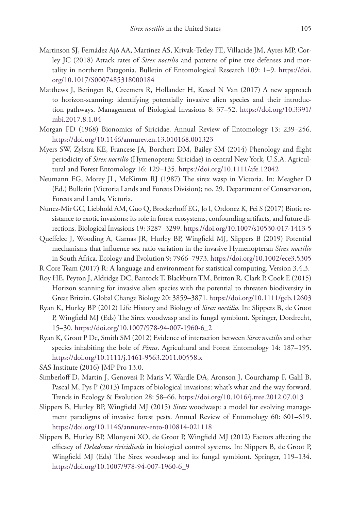- Martinson SJ, Fernádez Ajó AA, Martínez AS, Krivak-Tetley FE, Villacide JM, Ayres MP, Corley JC (2018) Attack rates of *Sirex noctilio* and patterns of pine tree defenses and mortality in northern Patagonia. Bulletin of Entomological Research 109: 1–9. [https://doi.](https://doi.org/10.1017/S0007485318000184) [org/10.1017/S0007485318000184](https://doi.org/10.1017/S0007485318000184)
- Matthews J, Beringen R, Creemers R, Hollander H, Kessel N Van (2017) A new approach to horizon-scanning: identifying potentially invasive alien species and their introduction pathways. Management of Biological Invasions 8: 37–52. [https://doi.org/10.3391/](https://doi.org/10.3391/mbi.2017.8.1.04) [mbi.2017.8.1.04](https://doi.org/10.3391/mbi.2017.8.1.04)
- Morgan FD (1968) Bionomics of Siricidae. Annual Review of Entomology 13: 239–256. <https://doi.org/10.1146/annurev.en.13.010168.001323>
- Myers SW, Zylstra KE, Francese JA, Borchert DM, Bailey SM (2014) Phenology and flight periodicity of *Sirex noctilio* (Hymenoptera: Siricidae) in central New York, U.S.A. Agricultural and Forest Entomology 16: 129–135.<https://doi.org/10.1111/afe.12042>
- Neumann FG, Morey JL, McKimm RJ (1987) The sirex wasp in Victoria. In: Meagher D (Ed.) Bulletin (Victoria Lands and Forests Division); no. 29. Department of Conservation, Forests and Lands, Victoria.
- Nunez-Mir GC, Liebhold AM, Guo Q, Brockerhoff EG, Jo I, Ordonez K, Fei S (2017) Biotic resistance to exotic invasions: its role in forest ecosystems, confounding artifacts, and future directions. Biological Invasions 19: 3287–3299.<https://doi.org/10.1007/s10530-017-1413-5>
- Queffelec J, Wooding A, Garnas JR, Hurley BP, Wingfield MJ, Slippers B (2019) Potential mechanisms that influence sex ratio variation in the invasive Hymenopteran *Sirex noctilio*  in South Africa. Ecology and Evolution 9: 7966–7973. <https://doi.org/10.1002/ece3.5305>

R Core Team (2017) R: A language and environment for statistical computing. Version 3.4.3.

- Roy HE, Peyton J, Aldridge DC, Bantock T, Blackburn TM, Britton R, Clark P, Cook E (2015) Horizon scanning for invasive alien species with the potential to threaten biodiversity in Great Britain. Global Change Biology 20: 3859–3871.<https://doi.org/10.1111/gcb.12603>
- Ryan K, Hurley BP (2012) Life History and Biology of *Sirex noctilio*. In: Slippers B, de Groot P, Wingfield MJ (Eds) The Sirex woodwasp and its fungal symbiont. Springer, Dordrecht, 15–30. [https://doi.org/10.1007/978-94-007-1960-6\\_2](https://doi.org/10.1007/978-94-007-1960-6_2)
- Ryan K, Groot P De, Smith SM (2012) Evidence of interaction between *Sirex noctilio* and other species inhabiting the bole of *Pinus*. Agricultural and Forest Entomology 14: 187–195. <https://doi.org/10.1111/j.1461-9563.2011.00558.x>

SAS Institute (2016) JMP Pro 13.0.

- Simberloff D, Martin J, Genovesi P, Maris V, Wardle DA, Aronson J, Courchamp F, Galil B, Pascal M, Pys P (2013) Impacts of biological invasions: what's what and the way forward. Trends in Ecology & Evolution 28: 58–66. <https://doi.org/10.1016/j.tree.2012.07.013>
- Slippers B, Hurley BP, Wingfield MJ (2015) *Sirex* woodwasp: a model for evolving management paradigms of invasive forest pests. Annual Review of Entomology 60: 601–619. <https://doi.org/10.1146/annurev-ento-010814-021118>
- Slippers B, Hurley BP, Mlonyeni XO, de Groot P, Wingfield MJ (2012) Factors affecting the efficacy of *Deladenus siricidicola* in biological control systems. In: Slippers B, de Groot P, Wingfield MJ (Eds) The Sirex woodwasp and its fungal symbiont. Springer, 119–134. [https://doi.org/10.1007/978-94-007-1960-6\\_9](https://doi.org/10.1007/978-94-007-1960-6_9)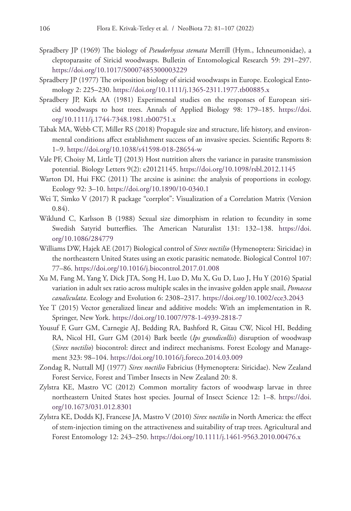- Spradbery JP (1969) The biology of *Pseudorhyssa stemata* Merrill (Hym., Ichneumonidae), a cleptoparasite of Siricid woodwasps. Bulletin of Entomological Research 59: 291–297. <https://doi.org/10.1017/S0007485300003229>
- Spradbery JP (1977) The oviposition biology of siricid woodwasps in Europe. Ecological Entomology 2: 225–230. <https://doi.org/10.1111/j.1365-2311.1977.tb00885.x>
- Spradbery JP, Kirk AA (1981) Experimental studies on the responses of European siricid woodwasps to host trees. Annals of Applied Biology 98: 179–185. [https://doi.](https://doi.org/10.1111/j.1744-7348.1981.tb00751.x) [org/10.1111/j.1744-7348.1981.tb00751.x](https://doi.org/10.1111/j.1744-7348.1981.tb00751.x)
- Tabak MA, Webb CT, Miller RS (2018) Propagule size and structure, life history, and environmental conditions affect establishment success of an invasive species. Scientific Reports 8: 1–9.<https://doi.org/10.1038/s41598-018-28654-w>
- Vale PF, Choisy M, Little TJ (2013) Host nutrition alters the variance in parasite transmission potential. Biology Letters 9(2): e20121145. <https://doi.org/10.1098/rsbl.2012.1145>
- Warton DI, Hui FKC (2011) The arcsine is asinine: the analysis of proportions in ecology. Ecology 92: 3–10. <https://doi.org/10.1890/10-0340.1>
- Wei T, Simko V (2017) R package "corrplot": Visualization of a Correlation Matrix (Version 0.84).
- Wiklund C, Karlsson B (1988) Sexual size dimorphism in relation to fecundity in some Swedish Satyrid butterflies. The American Naturalist 131: 132–138. [https://doi.](https://doi.org/10.1086/284779) [org/10.1086/284779](https://doi.org/10.1086/284779)
- Williams DW, Hajek AE (2017) Biological control of *Sirex noctilio* (Hymenoptera: Siricidae) in the northeastern United States using an exotic parasitic nematode. Biological Control 107: 77–86.<https://doi.org/10.1016/j.biocontrol.2017.01.008>
- Xu M, Fang M, Yang Y, Dick JTA, Song H, Luo D, Mu X, Gu D, Luo J, Hu Y (2016) Spatial variation in adult sex ratio across multiple scales in the invasive golden apple snail, *Pomacea canaliculata*. Ecology and Evolution 6: 2308–2317.<https://doi.org/10.1002/ece3.2043>
- Yee T (2015) Vector generalized linear and additive models: With an implementation in R. Springer, New York. <https://doi.org/10.1007/978-1-4939-2818-7>
- Yousuf F, Gurr GM, Carnegie AJ, Bedding RA, Bashford R, Gitau CW, Nicol HI, Bedding RA, Nicol HI, Gurr GM (2014) Bark beetle (*Ips grandicollis*) disruption of woodwasp (*Sirex noctilio*) biocontrol: direct and indirect mechanisms. Forest Ecology and Management 323: 98–104.<https://doi.org/10.1016/j.foreco.2014.03.009>
- Zondag R, Nuttall MJ (1977) *Sirex noctilio* Fabricius (Hymenoptera: Siricidae). New Zealand Forest Service, Forest and Timber Insects in New Zealand 20: 8.
- Zylstra KE, Mastro VC (2012) Common mortality factors of woodwasp larvae in three northeastern United States host species. Journal of Insect Science 12: 1–8. [https://doi.](https://doi.org/10.1673/031.012.8301) [org/10.1673/031.012.8301](https://doi.org/10.1673/031.012.8301)
- Zylstra KE, Dodds KJ, Francese JA, Mastro V (2010) *Sirex noctilio* in North America: the effect of stem-injection timing on the attractiveness and suitability of trap trees. Agricultural and Forest Entomology 12: 243–250. <https://doi.org/10.1111/j.1461-9563.2010.00476.x>